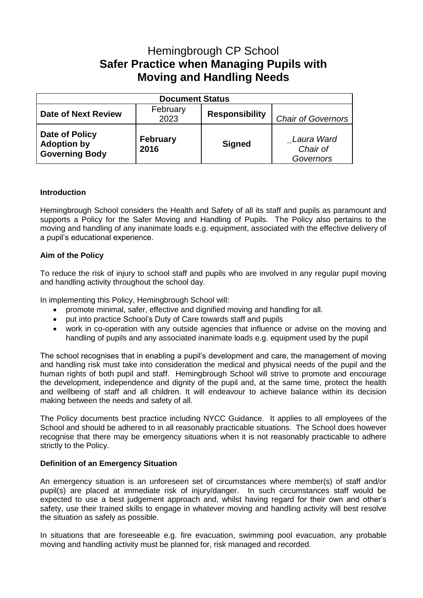# Hemingbrough CP School **Safer Practice when Managing Pupils with Moving and Handling Needs**

| <b>Document Status</b>                                        |                         |                       |                                     |
|---------------------------------------------------------------|-------------------------|-----------------------|-------------------------------------|
| <b>Date of Next Review</b>                                    | February<br>2023        | <b>Responsibility</b> | <b>Chair of Governors</b>           |
| Date of Policy<br><b>Adoption by</b><br><b>Governing Body</b> | <b>February</b><br>2016 | <b>Signed</b>         | Laura Ward<br>Chair of<br>Governors |

## **Introduction**

Hemingbrough School considers the Health and Safety of all its staff and pupils as paramount and supports a Policy for the Safer Moving and Handling of Pupils. The Policy also pertains to the moving and handling of any inanimate loads e.g. equipment, associated with the effective delivery of a pupil's educational experience.

## **Aim of the Policy**

To reduce the risk of injury to school staff and pupils who are involved in any regular pupil moving and handling activity throughout the school day.

In implementing this Policy, Hemingbrough School will:

- promote minimal, safer, effective and dignified moving and handling for all.
- put into practice School's Duty of Care towards staff and pupils
- work in co-operation with any outside agencies that influence or advise on the moving and handling of pupils and any associated inanimate loads e.g. equipment used by the pupil

The school recognises that in enabling a pupil's development and care, the management of moving and handling risk must take into consideration the medical and physical needs of the pupil and the human rights of both pupil and staff. Hemingbrough School will strive to promote and encourage the development, independence and dignity of the pupil and, at the same time, protect the health and wellbeing of staff and all children. It will endeavour to achieve balance within its decision making between the needs and safety of all.

The Policy documents best practice including NYCC Guidance. It applies to all employees of the School and should be adhered to in all reasonably practicable situations. The School does however recognise that there may be emergency situations when it is not reasonably practicable to adhere strictly to the Policy.

## **Definition of an Emergency Situation**

An emergency situation is an unforeseen set of circumstances where member(s) of staff and/or pupil(s) are placed at immediate risk of injury/danger. In such circumstances staff would be expected to use a best judgement approach and, whilst having regard for their own and other's safety, use their trained skills to engage in whatever moving and handling activity will best resolve the situation as safely as possible.

In situations that are foreseeable e.g. fire evacuation, swimming pool evacuation, any probable moving and handling activity must be planned for, risk managed and recorded.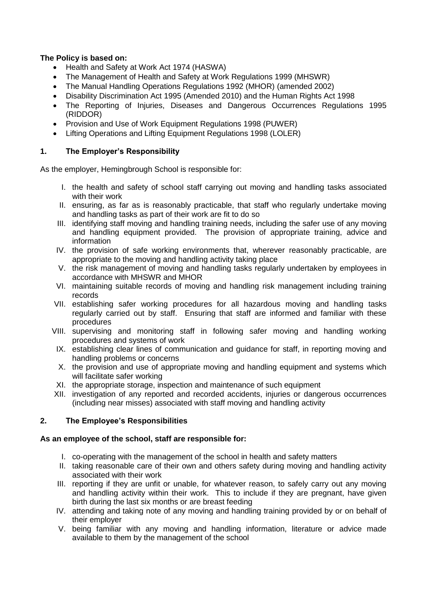## **The Policy is based on:**

- Health and Safety at Work Act 1974 (HASWA)
- The Management of Health and Safety at Work Regulations 1999 (MHSWR)
- The Manual Handling Operations Regulations 1992 (MHOR) (amended 2002)
- Disability Discrimination Act 1995 (Amended 2010) and the Human Rights Act 1998
- The Reporting of Injuries, Diseases and Dangerous Occurrences Regulations 1995 (RIDDOR)
- Provision and Use of Work Equipment Regulations 1998 (PUWER)
- Lifting Operations and Lifting Equipment Regulations 1998 (LOLER)

## **1. The Employer's Responsibility**

As the employer, Hemingbrough School is responsible for:

- I. the health and safety of school staff carrying out moving and handling tasks associated with their work
- II. ensuring, as far as is reasonably practicable, that staff who regularly undertake moving and handling tasks as part of their work are fit to do so
- III. identifying staff moving and handling training needs, including the safer use of any moving and handling equipment provided. The provision of appropriate training, advice and information
- IV. the provision of safe working environments that, wherever reasonably practicable, are appropriate to the moving and handling activity taking place
- V. the risk management of moving and handling tasks regularly undertaken by employees in accordance with MHSWR and MHOR
- VI. maintaining suitable records of moving and handling risk management including training records
- VII. establishing safer working procedures for all hazardous moving and handling tasks regularly carried out by staff. Ensuring that staff are informed and familiar with these procedures
- VIII. supervising and monitoring staff in following safer moving and handling working procedures and systems of work
- IX. establishing clear lines of communication and guidance for staff, in reporting moving and handling problems or concerns
- X. the provision and use of appropriate moving and handling equipment and systems which will facilitate safer working
- XI. the appropriate storage, inspection and maintenance of such equipment
- XII. investigation of any reported and recorded accidents, injuries or dangerous occurrences (including near misses) associated with staff moving and handling activity

## **2. The Employee's Responsibilities**

## **As an employee of the school, staff are responsible for:**

- I. co-operating with the management of the school in health and safety matters
- II. taking reasonable care of their own and others safety during moving and handling activity associated with their work
- III. reporting if they are unfit or unable, for whatever reason, to safely carry out any moving and handling activity within their work. This to include if they are pregnant, have given birth during the last six months or are breast feeding
- IV. attending and taking note of any moving and handling training provided by or on behalf of their employer
- V. being familiar with any moving and handling information, literature or advice made available to them by the management of the school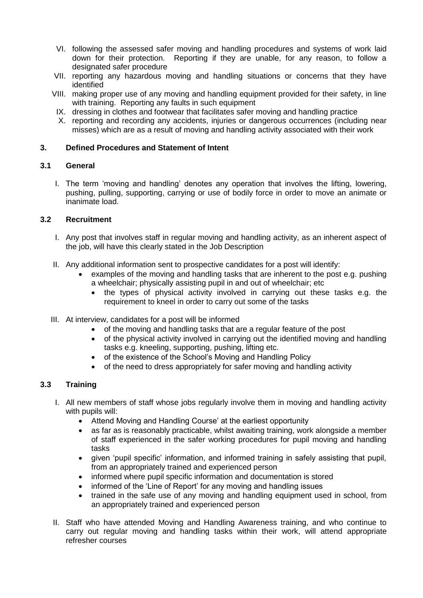- VI. following the assessed safer moving and handling procedures and systems of work laid down for their protection. Reporting if they are unable, for any reason, to follow a designated safer procedure
- VII. reporting any hazardous moving and handling situations or concerns that they have identified
- VIII. making proper use of any moving and handling equipment provided for their safety, in line with training. Reporting any faults in such equipment
- IX. dressing in clothes and footwear that facilitates safer moving and handling practice
- X. reporting and recording any accidents, injuries or dangerous occurrences (including near misses) which are as a result of moving and handling activity associated with their work

## **3. Defined Procedures and Statement of Intent**

## **3.1 General**

I. The term 'moving and handling' denotes any operation that involves the lifting, lowering, pushing, pulling, supporting, carrying or use of bodily force in order to move an animate or inanimate load.

## **3.2 Recruitment**

- I. Any post that involves staff in regular moving and handling activity, as an inherent aspect of the job, will have this clearly stated in the Job Description
- II. Any additional information sent to prospective candidates for a post will identify:
	- examples of the moving and handling tasks that are inherent to the post e.g. pushing a wheelchair; physically assisting pupil in and out of wheelchair; etc
		- the types of physical activity involved in carrying out these tasks e.g. the requirement to kneel in order to carry out some of the tasks
- III. At interview, candidates for a post will be informed
	- of the moving and handling tasks that are a regular feature of the post
	- of the physical activity involved in carrying out the identified moving and handling tasks e.g. kneeling, supporting, pushing, lifting etc.
	- of the existence of the School's Moving and Handling Policy
	- of the need to dress appropriately for safer moving and handling activity

## **3.3 Training**

- I. All new members of staff whose jobs regularly involve them in moving and handling activity with pupils will:
	- Attend Moving and Handling Course' at the earliest opportunity
	- as far as is reasonably practicable, whilst awaiting training, work alongside a member of staff experienced in the safer working procedures for pupil moving and handling tasks
	- given 'pupil specific' information, and informed training in safely assisting that pupil, from an appropriately trained and experienced person
	- informed where pupil specific information and documentation is stored
	- informed of the 'Line of Report' for any moving and handling issues
	- trained in the safe use of any moving and handling equipment used in school, from an appropriately trained and experienced person
- II. Staff who have attended Moving and Handling Awareness training, and who continue to carry out regular moving and handling tasks within their work, will attend appropriate refresher courses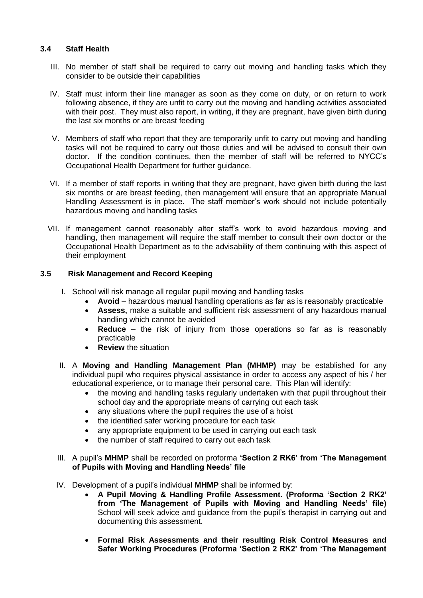## **3.4 Staff Health**

- III. No member of staff shall be required to carry out moving and handling tasks which they consider to be outside their capabilities
- IV. Staff must inform their line manager as soon as they come on duty, or on return to work following absence, if they are unfit to carry out the moving and handling activities associated with their post. They must also report, in writing, if they are pregnant, have given birth during the last six months or are breast feeding
- V. Members of staff who report that they are temporarily unfit to carry out moving and handling tasks will not be required to carry out those duties and will be advised to consult their own doctor. If the condition continues, then the member of staff will be referred to NYCC's Occupational Health Department for further guidance.
- VI. If a member of staff reports in writing that they are pregnant, have given birth during the last six months or are breast feeding, then management will ensure that an appropriate Manual Handling Assessment is in place. The staff member's work should not include potentially hazardous moving and handling tasks
- VII. If management cannot reasonably alter staff's work to avoid hazardous moving and handling, then management will require the staff member to consult their own doctor or the Occupational Health Department as to the advisability of them continuing with this aspect of their employment

## **3.5 Risk Management and Record Keeping**

- I. School will risk manage all regular pupil moving and handling tasks
	- **Avoid** hazardous manual handling operations as far as is reasonably practicable
	- **Assess,** make a suitable and sufficient risk assessment of any hazardous manual handling which cannot be avoided
	- **Reduce** the risk of injury from those operations so far as is reasonably practicable
	- **Review** the situation
- II. A **Moving and Handling Management Plan (MHMP)** may be established for any individual pupil who requires physical assistance in order to access any aspect of his / her educational experience, or to manage their personal care. This Plan will identify:
	- the moving and handling tasks regularly undertaken with that pupil throughout their school day and the appropriate means of carrying out each task
	- any situations where the pupil requires the use of a hoist
	- the identified safer working procedure for each task
	- any appropriate equipment to be used in carrying out each task
	- the number of staff required to carry out each task
- III. A pupil's **MHMP** shall be recorded on proforma **'Section 2 RK6' from 'The Management of Pupils with Moving and Handling Needs' file**
- IV. Development of a pupil's individual **MHMP** shall be informed by:
	- **A Pupil Moving & Handling Profile Assessment. (Proforma 'Section 2 RK2' from 'The Management of Pupils with Moving and Handling Needs' file)** School will seek advice and guidance from the pupil's therapist in carrying out and documenting this assessment.
	- **Formal Risk Assessments and their resulting Risk Control Measures and Safer Working Procedures (Proforma 'Section 2 RK2' from 'The Management**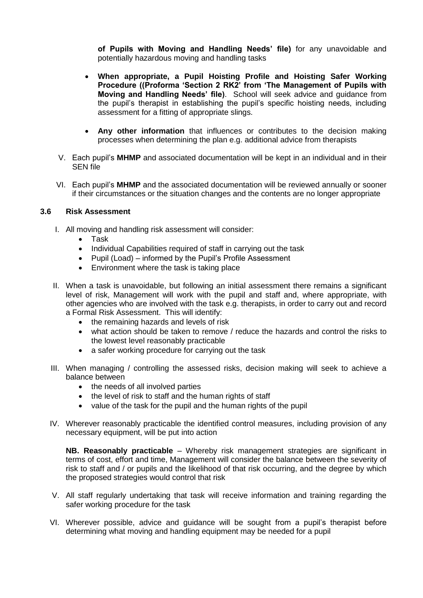**of Pupils with Moving and Handling Needs' file)** for any unavoidable and potentially hazardous moving and handling tasks

- **When appropriate, a Pupil Hoisting Profile and Hoisting Safer Working Procedure ((Proforma 'Section 2 RK2' from 'The Management of Pupils with Moving and Handling Needs' file)**. School will seek advice and guidance from the pupil's therapist in establishing the pupil's specific hoisting needs, including assessment for a fitting of appropriate slings.
- **Any other information** that influences or contributes to the decision making processes when determining the plan e.g. additional advice from therapists
- V. Each pupil's **MHMP** and associated documentation will be kept in an individual and in their SEN file
- VI. Each pupil's **MHMP** and the associated documentation will be reviewed annually or sooner if their circumstances or the situation changes and the contents are no longer appropriate

## **3.6 Risk Assessment**

- I. All moving and handling risk assessment will consider:
	- Task
	- Individual Capabilities required of staff in carrying out the task
	- Pupil (Load) informed by the Pupil's Profile Assessment
	- Environment where the task is taking place
- II. When a task is unavoidable, but following an initial assessment there remains a significant level of risk, Management will work with the pupil and staff and, where appropriate, with other agencies who are involved with the task e.g. therapists, in order to carry out and record a Formal Risk Assessment. This will identify:
	- the remaining hazards and levels of risk
	- what action should be taken to remove / reduce the hazards and control the risks to the lowest level reasonably practicable
	- a safer working procedure for carrying out the task
- III. When managing / controlling the assessed risks, decision making will seek to achieve a balance between
	- the needs of all involved parties
	- the level of risk to staff and the human rights of staff
	- value of the task for the pupil and the human rights of the pupil
- IV. Wherever reasonably practicable the identified control measures, including provision of any necessary equipment, will be put into action

**NB. Reasonably practicable** – Whereby risk management strategies are significant in terms of cost, effort and time, Management will consider the balance between the severity of risk to staff and / or pupils and the likelihood of that risk occurring, and the degree by which the proposed strategies would control that risk

- V. All staff regularly undertaking that task will receive information and training regarding the safer working procedure for the task
- VI. Wherever possible, advice and guidance will be sought from a pupil's therapist before determining what moving and handling equipment may be needed for a pupil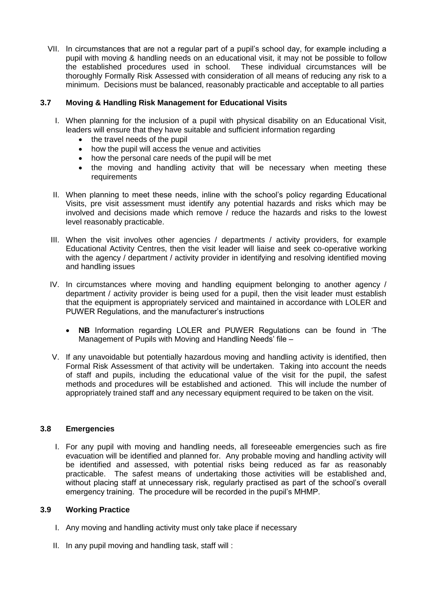VII. In circumstances that are not a regular part of a pupil's school day, for example including a pupil with moving & handling needs on an educational visit, it may not be possible to follow the established procedures used in school. These individual circumstances will be thoroughly Formally Risk Assessed with consideration of all means of reducing any risk to a minimum. Decisions must be balanced, reasonably practicable and acceptable to all parties

## **3.7 Moving & Handling Risk Management for Educational Visits**

- I. When planning for the inclusion of a pupil with physical disability on an Educational Visit, leaders will ensure that they have suitable and sufficient information regarding
	- the travel needs of the pupil
	- how the pupil will access the venue and activities
	- how the personal care needs of the pupil will be met
	- the moving and handling activity that will be necessary when meeting these requirements
- II. When planning to meet these needs, inline with the school's policy regarding Educational Visits, pre visit assessment must identify any potential hazards and risks which may be involved and decisions made which remove / reduce the hazards and risks to the lowest level reasonably practicable.
- III. When the visit involves other agencies / departments / activity providers, for example Educational Activity Centres, then the visit leader will liaise and seek co-operative working with the agency / department / activity provider in identifying and resolving identified moving and handling issues
- IV. In circumstances where moving and handling equipment belonging to another agency / department / activity provider is being used for a pupil, then the visit leader must establish that the equipment is appropriately serviced and maintained in accordance with LOLER and PUWER Regulations, and the manufacturer's instructions
	- **NB** Information regarding LOLER and PUWER Regulations can be found in 'The Management of Pupils with Moving and Handling Needs' file –
- V. If any unavoidable but potentially hazardous moving and handling activity is identified, then Formal Risk Assessment of that activity will be undertaken. Taking into account the needs of staff and pupils, including the educational value of the visit for the pupil, the safest methods and procedures will be established and actioned. This will include the number of appropriately trained staff and any necessary equipment required to be taken on the visit.

## **3.8 Emergencies**

I. For any pupil with moving and handling needs, all foreseeable emergencies such as fire evacuation will be identified and planned for. Any probable moving and handling activity will be identified and assessed, with potential risks being reduced as far as reasonably practicable. The safest means of undertaking those activities will be established and, without placing staff at unnecessary risk, regularly practised as part of the school's overall emergency training. The procedure will be recorded in the pupil's MHMP.

## **3.9 Working Practice**

- I. Any moving and handling activity must only take place if necessary
- II. In any pupil moving and handling task, staff will :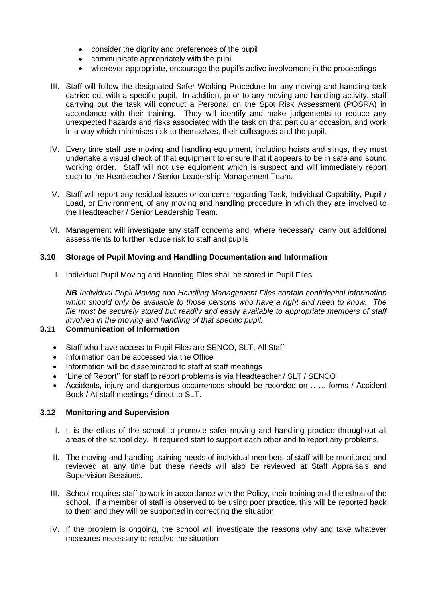- consider the dignity and preferences of the pupil
- communicate appropriately with the pupil
- wherever appropriate, encourage the pupil's active involvement in the proceedings
- III. Staff will follow the designated Safer Working Procedure for any moving and handling task carried out with a specific pupil. In addition, prior to any moving and handling activity, staff carrying out the task will conduct a Personal on the Spot Risk Assessment (POSRA) in accordance with their training. They will identify and make judgements to reduce any unexpected hazards and risks associated with the task on that particular occasion, and work in a way which minimises risk to themselves, their colleagues and the pupil.
- IV. Every time staff use moving and handling equipment, including hoists and slings, they must undertake a visual check of that equipment to ensure that it appears to be in safe and sound working order. Staff will not use equipment which is suspect and will immediately report such to the Headteacher / Senior Leadership Management Team.
- V. Staff will report any residual issues or concerns regarding Task, Individual Capability, Pupil / Load, or Environment, of any moving and handling procedure in which they are involved to the Headteacher / Senior Leadership Team.
- VI. Management will investigate any staff concerns and, where necessary, carry out additional assessments to further reduce risk to staff and pupils

## **3.10 Storage of Pupil Moving and Handling Documentation and Information**

I. Individual Pupil Moving and Handling Files shall be stored in Pupil Files

*NB Individual Pupil Moving and Handling Management Files contain confidential information which should only be available to those persons who have a right and need to know. The file must be securely stored but readily and easily available to appropriate members of staff involved in the moving and handling of that specific pupil.*

## **3.11 Communication of Information**

- Staff who have access to Pupil Files are SENCO, SLT, All Staff
- Information can be accessed via the Office
- Information will be disseminated to staff at staff meetings
- 'Line of Report'' for staff to report problems is via Headteacher / SLT / SENCO
- Accidents, injury and dangerous occurrences should be recorded on …… forms / Accident Book / At staff meetings / direct to SLT.

## **3.12 Monitoring and Supervision**

- I. It is the ethos of the school to promote safer moving and handling practice throughout all areas of the school day. It required staff to support each other and to report any problems.
- II. The moving and handling training needs of individual members of staff will be monitored and reviewed at any time but these needs will also be reviewed at Staff Appraisals and Supervision Sessions.
- III. School requires staff to work in accordance with the Policy, their training and the ethos of the school. If a member of staff is observed to be using poor practice, this will be reported back to them and they will be supported in correcting the situation
- IV. If the problem is ongoing, the school will investigate the reasons why and take whatever measures necessary to resolve the situation